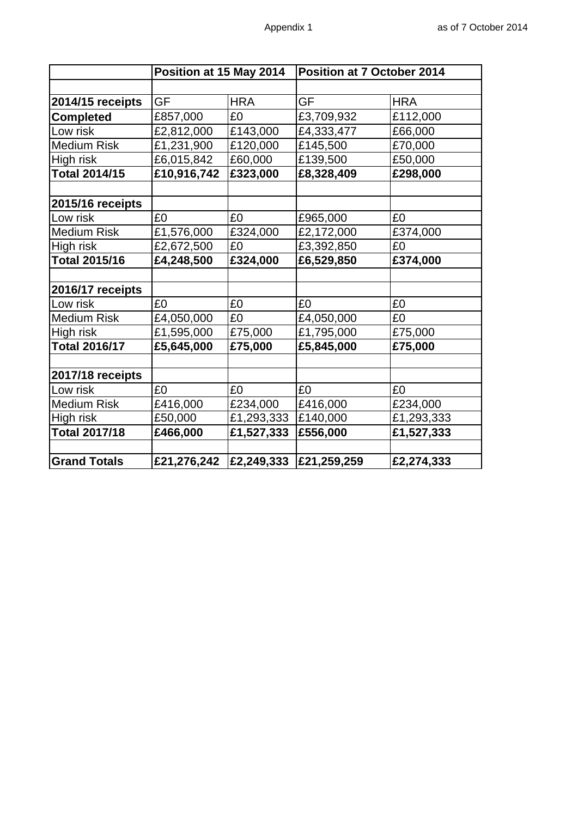|                      | Position at 15 May 2014 |            | Position at 7 October 2014 |            |
|----------------------|-------------------------|------------|----------------------------|------------|
|                      |                         |            |                            |            |
| 2014/15 receipts     | GF                      | <b>HRA</b> | GF                         | <b>HRA</b> |
| <b>Completed</b>     | £857,000                | £0         | £3,709,932                 | £112,000   |
| ow risk              | £2,812,000              | £143,000   | £4,333,477                 | £66,000    |
| <b>Medium Risk</b>   | £1,231,900              | £120,000   | £145,500                   | £70,000    |
| High risk            | £6,015,842              | £60,000    | £139,500                   | £50,000    |
| Total 2014/15        | £10,916,742             | £323,000   | £8,328,409                 | £298,000   |
|                      |                         |            |                            |            |
| 2015/16 receipts     |                         |            |                            |            |
| ow risk              | £0                      | £0         | £965,000                   | £0         |
| <b>Medium Risk</b>   | £1,576,000              | £324,000   | £2,172,000                 | £374,000   |
| High risk            | £2,672,500              | £0         | £3,392,850                 | £0         |
| Total 2015/16        | £4,248,500              | £324,000   | £6,529,850                 | £374,000   |
|                      |                         |            |                            |            |
| 2016/17 receipts     |                         |            |                            |            |
| Low risk             | £0                      | £0         | £0                         | £0         |
| <b>Medium Risk</b>   | £4,050,000              | £0         | £4,050,000                 | £0         |
| High risk            | £1,595,000              | £75,000    | £1,795,000                 | £75,000    |
| <b>Total 2016/17</b> | £5,645,000              | £75,000    | £5,845,000                 | £75,000    |
|                      |                         |            |                            |            |
| 2017/18 receipts     |                         |            |                            |            |
| Low risk             | £0                      | £0         | £0                         | £0         |
| <b>Medium Risk</b>   | £416,000                | £234,000   | £416,000                   | £234,000   |
| High risk            | £50,000                 | £1,293,333 | £140,000                   | £1,293,333 |
| Total 2017/18        | £466,000                | £1,527,333 | £556,000                   | £1,527,333 |
|                      |                         |            |                            |            |
| <b>Grand Totals</b>  | £21,276,242             | £2,249,333 | £21,259,259                | £2,274,333 |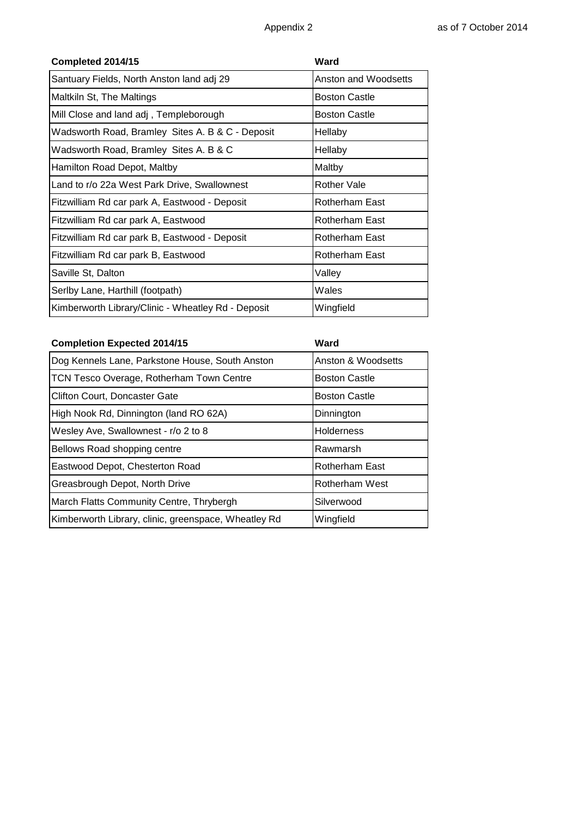| Completed 2014/15                                  | Ward                 |
|----------------------------------------------------|----------------------|
| Santuary Fields, North Anston land adj 29          | Anston and Woodsetts |
| Maltkiln St, The Maltings                          | Boston Castle        |
| Mill Close and land adj, Templeborough             | Boston Castle        |
| Wadsworth Road, Bramley Sites A. B & C - Deposit   | Hellaby              |
| Wadsworth Road, Bramley Sites A. B & C             | Hellaby              |
| Hamilton Road Depot, Maltby                        | Maltby               |
| Land to r/o 22a West Park Drive, Swallownest       | Rother Vale          |
| Fitzwilliam Rd car park A, Eastwood - Deposit      | Rotherham East       |
| Fitzwilliam Rd car park A, Eastwood                | Rotherham East       |
| Fitzwilliam Rd car park B, Eastwood - Deposit      | Rotherham East       |
| Fitzwilliam Rd car park B, Eastwood                | Rotherham East       |
| Saville St, Dalton                                 | Valley               |
| Serlby Lane, Harthill (footpath)                   | Wales                |
| Kimberworth Library/Clinic - Wheatley Rd - Deposit | Wingfield            |

| <b>Completion Expected 2014/15</b>                   | Ward                 |
|------------------------------------------------------|----------------------|
| Dog Kennels Lane, Parkstone House, South Anston      | Anston & Woodsetts   |
| TCN Tesco Overage, Rotherham Town Centre             | <b>Boston Castle</b> |
| <b>Clifton Court, Doncaster Gate</b>                 | <b>Boston Castle</b> |
| High Nook Rd, Dinnington (land RO 62A)               | Dinnington           |
| Wesley Ave, Swallownest - r/o 2 to 8                 | <b>Holderness</b>    |
| Bellows Road shopping centre                         | Rawmarsh             |
| Eastwood Depot, Chesterton Road                      | Rotherham East       |
| Greasbrough Depot, North Drive                       | Rotherham West       |
| March Flatts Community Centre, Thrybergh             | Silverwood           |
| Kimberworth Library, clinic, greenspace, Wheatley Rd | Wingfield            |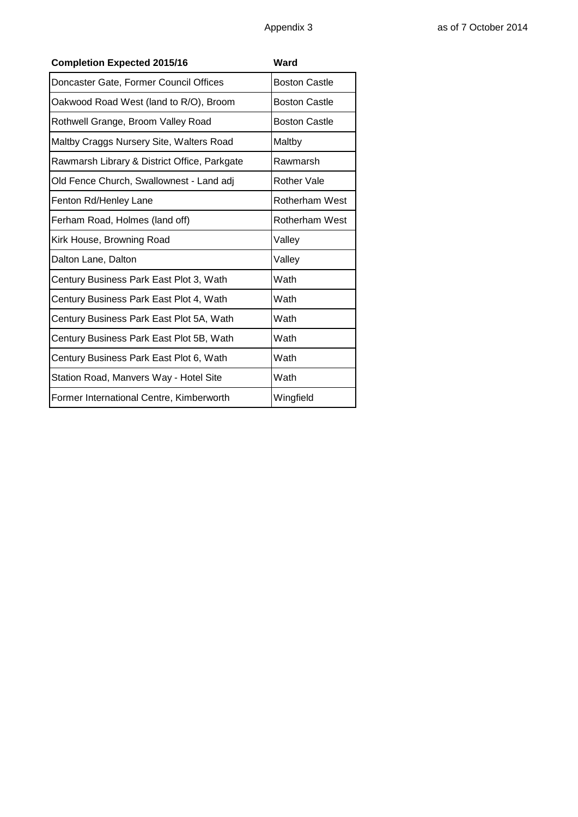| <b>Completion Expected 2015/16</b>           | Ward                 |
|----------------------------------------------|----------------------|
| Doncaster Gate, Former Council Offices       | <b>Boston Castle</b> |
| Oakwood Road West (land to R/O), Broom       | <b>Boston Castle</b> |
| Rothwell Grange, Broom Valley Road           | <b>Boston Castle</b> |
| Maltby Craggs Nursery Site, Walters Road     | Maltby               |
| Rawmarsh Library & District Office, Parkgate | Rawmarsh             |
| Old Fence Church, Swallownest - Land adj     | <b>Rother Vale</b>   |
| Fenton Rd/Henley Lane                        | Rotherham West       |
| Ferham Road, Holmes (land off)               | Rotherham West       |
| Kirk House, Browning Road                    | Valley               |
| Dalton Lane, Dalton                          | Valley               |
| Century Business Park East Plot 3, Wath      | Wath                 |
| Century Business Park East Plot 4, Wath      | Wath                 |
| Century Business Park East Plot 5A, Wath     | Wath                 |
| Century Business Park East Plot 5B, Wath     | Wath                 |
| Century Business Park East Plot 6, Wath      | Wath                 |
| Station Road, Manvers Way - Hotel Site       | Wath                 |
| Former International Centre, Kimberworth     | Wingfield            |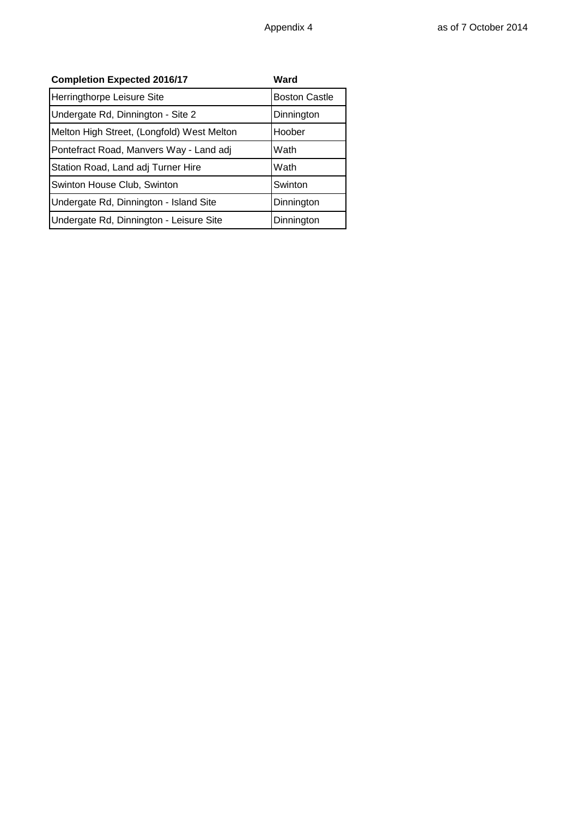| <b>Completion Expected 2016/17</b>         | Ward                 |
|--------------------------------------------|----------------------|
| Herringthorpe Leisure Site                 | <b>Boston Castle</b> |
| Undergate Rd, Dinnington - Site 2          | Dinnington           |
| Melton High Street, (Longfold) West Melton | Hoober               |
| Pontefract Road, Manvers Way - Land adj    | Wath                 |
| Station Road, Land adj Turner Hire         | Wath                 |
| Swinton House Club, Swinton                | Swinton              |
| Undergate Rd, Dinnington - Island Site     | Dinnington           |
| Undergate Rd, Dinnington - Leisure Site    | Dinnington           |